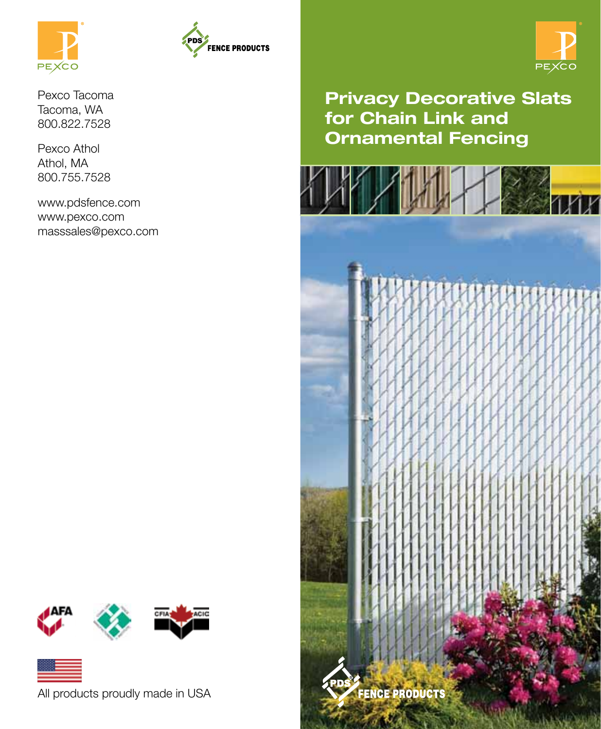



Pexco Tacoma Tacoma, WA 800.822.7528

Pexco Athol Athol, MA 800.755.7528

www.pdsfence.com www.pexco.com masssales@pexco.com



Privacy Decorative Slats for Chain Link and Ornamental Fencing







All products proudly made in USA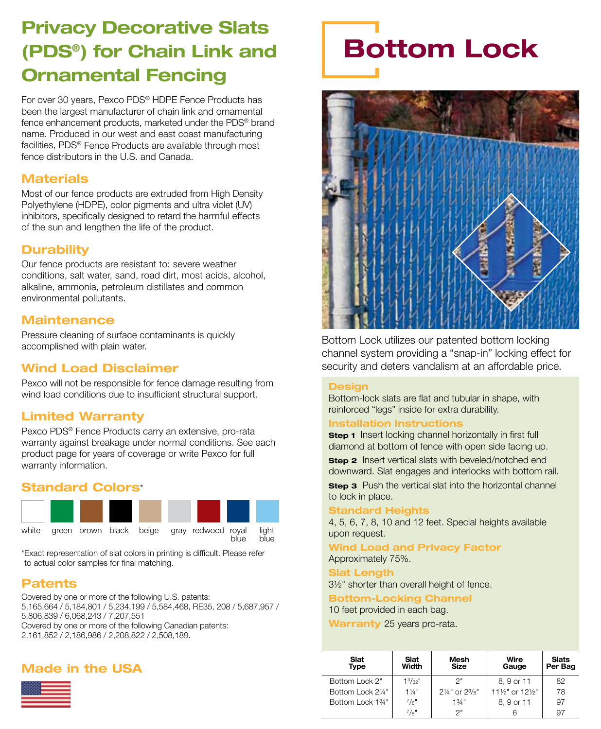### Privacy Decorative Slats (PDS®) for Chain Link and Ornamental Fencing

For over 30 years, Pexco PDS® HDPE Fence Products has been the largest manufacturer of chain link and ornamental fence enhancement products, marketed under the PDS® brand name. Produced in our west and east coast manufacturing facilities, PDS® Fence Products are available through most fence distributors in the U.S. and Canada.

#### **Materials**

Most of our fence products are extruded from High Density Polyethylene (HDPE), color pigments and ultra violet (UV) inhibitors, specifically designed to retard the harmful effects of the sun and lengthen the life of the product.

#### **Durability**

Our fence products are resistant to: severe weather conditions, salt water, sand, road dirt, most acids, alcohol, alkaline, ammonia, petroleum distillates and common environmental pollutants.

#### **Maintenance**

Pressure cleaning of surface contaminants is quickly accomplished with plain water.

#### Wind Load Disclaimer

Pexco will not be responsible for fence damage resulting from wind load conditions due to insufficient structural support.

#### Limited Warranty

Pexco PDS® Fence Products carry an extensive, pro-rata warranty against breakage under normal conditions. See each product page for years of coverage or write Pexco for full warranty information.

#### Standard Colors\*



\*Exact representation of slat colors in printing is difficult. Please refer to actual color samples for final matching.

#### Patents

Covered by one or more of the following U.S. patents: 5,165,664 / 5,184,801 / 5,234,199 / 5,584,468, RE35, 208 / 5,687,957 / 5,806,839 / 6,068,243 / 7,207,551 Covered by one or more of the following Canadian patents: 2,161,852 / 2,186,986 / 2,208,822 / 2,508,189.

#### Made in the USA



## Bottom Lock



Bottom Lock utilizes our patented bottom locking channel system providing a "snap-in" locking effect for security and deters vandalism at an affordable price.

#### **Design**

Bottom-lock slats are flat and tubular in shape, with reinforced "legs" inside for extra durability.

#### Installation Instructions

**Step 1** Insert locking channel horizontally in first full diamond at bottom of fence with open side facing up.

**Step 2** Insert vertical slats with beveled/notched end downward. Slat engages and interlocks with bottom rail.

**Step 3** Push the vertical slat into the horizontal channel to lock in place.

#### Standard Heights

4, 5, 6, 7, 8, 10 and 12 feet. Special heights available upon request.

Wind Load and Privacy Factor Approximately 75%.

#### **Slat Length**

3½" shorter than overall height of fence.

Bottom-Locking Channel 10 feet provided in each bag.

| Slat<br>Type      | Slat<br>Width          | Mesh<br>Size                         | Wire<br>Gauge    | <b>Slats</b><br>Per Bag |
|-------------------|------------------------|--------------------------------------|------------------|-------------------------|
| Bottom Lock 2"    | $1^3/32''$             | つ゠                                   | 8, 9 or 11       | 82                      |
| Bottom Lock 21/4" | $1\frac{1}{4}$ "       | $2\frac{1}{4}$ " or $2\frac{3}{8}$ " | 111/2" or 121/2" | 78                      |
| Bottom Lock 1%"   | $^{7}/\mathrm{a}^{11}$ | 13/4"                                | 8.9 or 11        | 97                      |
|                   | $^{7}/8"$              | つ"                                   |                  | 97                      |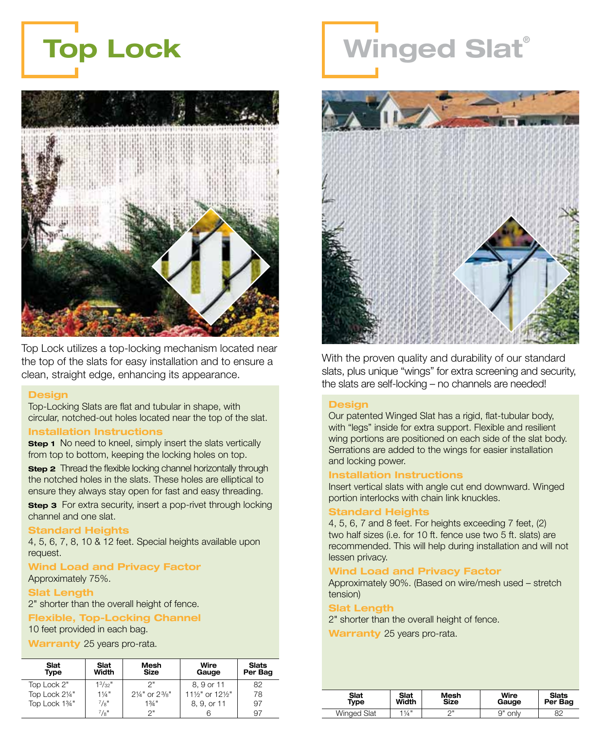



Top Lock utilizes a top-locking mechanism located near the top of the slats for easy installation and to ensure a clean, straight edge, enhancing its appearance.

#### **Design**

Top-Locking Slats are flat and tubular in shape, with circular, notched-out holes located near the top of the slat.

#### Installation Instructions

**Step 1** No need to kneel, simply insert the slats vertically from top to bottom, keeping the locking holes on top.

**Step 2** Thread the flexible locking channel horizontally through the notched holes in the slats. These holes are elliptical to ensure they always stay open for fast and easy threading.

**Step 3** For extra security, insert a pop-rivet through locking channel and one slat.

#### **Standard Heights**

4, 5, 6, 7, 8, 10 & 12 feet. Special heights available upon request.

#### Wind Load and Privacy Factor Approximately 75%.

#### **Slat Length**

2" shorter than the overall height of fence.

#### Flexible, Top-Locking Channel

10 feet provided in each bag.

Warranty 25 years pro-rata.

| Slat<br>Type   | Slat<br>Width    | Mesh<br>Size                         | Wire<br>Gauge    | <b>Slats</b><br>Per Bag |
|----------------|------------------|--------------------------------------|------------------|-------------------------|
| Top Lock 2"    | $1^3/32$ "       | つ=                                   | 8.9 or 11        | 82                      |
| Top Lock 21/4" | $1\frac{1}{4}$ " | $2\frac{1}{4}$ " or $2\frac{3}{8}$ " | 111/2" or 121/2" | 78                      |
| Top Lock 1%"   | $^{7}/8"$        | 13/4"                                | 8, 9, or 11      | 97                      |
|                | $^{7}/8"$        | つ=                                   |                  | 97                      |

## Winged Slat®



With the proven quality and durability of our standard slats, plus unique "wings" for extra screening and security, the slats are self-locking – no channels are needed!

#### **Design**

Our patented Winged Slat has a rigid, flat-tubular body, with "legs" inside for extra support. Flexible and resilient wing portions are positioned on each side of the slat body. Serrations are added to the wings for easier installation and locking power.

#### Installation Instructions

Insert vertical slats with angle cut end downward. Winged portion interlocks with chain link knuckles.

#### **Standard Heights**

4, 5, 6, 7 and 8 feet. For heights exceeding 7 feet, (2) two half sizes (i.e. for 10 ft. fence use two 5 ft. slats) are recommended. This will help during installation and will not lessen privacy.

#### Wind Load and Privacy Factor

Approximately 90%. (Based on wire/mesh used – stretch tension)

#### Slat Length

2" shorter than the overall height of fence.

| Slat               | Slat             | Mesh | Wire       | <b>Slats</b> |
|--------------------|------------------|------|------------|--------------|
| Tvpe               | Width            | Size | Gauge      | Per Bag      |
| <b>Winged Slat</b> | $1\frac{1}{4}$ " | ∩⊪   | 9"<br>only | 82           |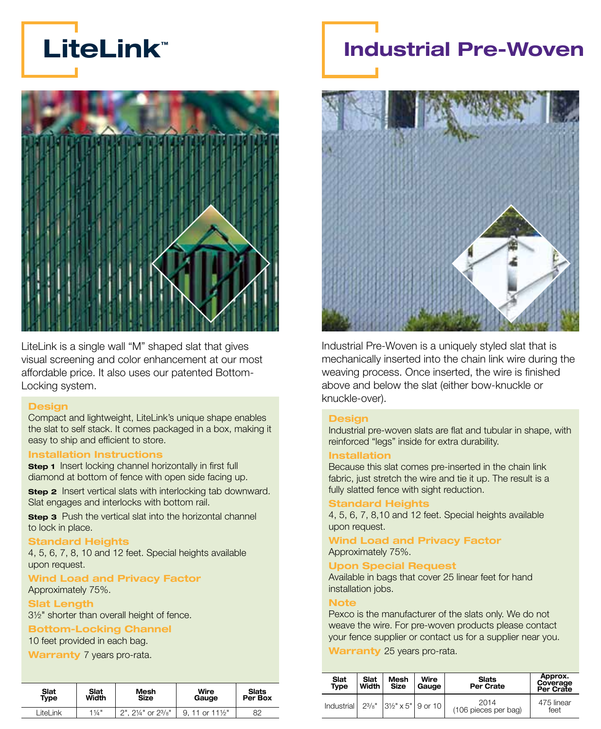



LiteLink is a single wall "M" shaped slat that gives visual screening and color enhancement at our most affordable price. It also uses our patented Bottom-Locking system.

#### **Design**

Compact and lightweight, LiteLink's unique shape enables the slat to self stack. It comes packaged in a box, making it easy to ship and efficient to store.

#### Installation Instructions

**Step 1** Insert locking channel horizontally in first full diamond at bottom of fence with open side facing up.

**Step 2** Insert vertical slats with interlocking tab downward. Slat engages and interlocks with bottom rail.

**Step 3** Push the vertical slat into the horizontal channel to lock in place.

#### Standard Heights

4, 5, 6, 7, 8, 10 and 12 feet. Special heights available upon request.

#### Wind Load and Privacy Factor Approximately 75%.

#### Slat Length

3½" shorter than overall height of fence.

#### Bottom-Locking Channel

10 feet provided in each bag.

Warranty 7 years pro-rata.

| Slat       | Slat             | Mesh               | Wire         | <b>Slats</b> |
|------------|------------------|--------------------|--------------|--------------|
| Type       | Width            | <b>Size</b>        | Gauge        | Per Box      |
| I itel ink | $1\frac{1}{4}$ " | 2", 21/4" or 23/8" | 11 or 111⁄2" | 82           |

### Industrial Pre-Woven



Industrial Pre-Woven is a uniquely styled slat that is mechanically inserted into the chain link wire during the weaving process. Once inserted, the wire is finished above and below the slat (either bow-knuckle or knuckle-over).

#### **Design**

Industrial pre-woven slats are flat and tubular in shape, with reinforced "legs" inside for extra durability.

#### Installation

Because this slat comes pre-inserted in the chain link fabric, just stretch the wire and tie it up. The result is a fully slatted fence with sight reduction.

#### **Standard Heights**

4, 5, 6, 7, 8,10 and 12 feet. Special heights available upon request.

Wind Load and Privacy Factor Approximately 75%.

#### Upon Special Request

Available in bags that cover 25 linear feet for hand installation jobs.

#### **Note**

Pexco is the manufacturer of the slats only. We do not weave the wire. For pre-woven products please contact your fence supplier or contact us for a supplier near you.

| Slat       | Slat  | Mesh                             | Wire  | <b>Slats</b>                 | Approx.               |
|------------|-------|----------------------------------|-------|------------------------------|-----------------------|
| Type       | Width | Size                             | Gauge | Per Crate                    | Coverage<br>Per Crate |
| Industrial |       | $2^{3}/8$ " 31/2" x 5"   9 or 10 |       | 2014<br>(106 pieces per bag) | 475 linear<br>feet    |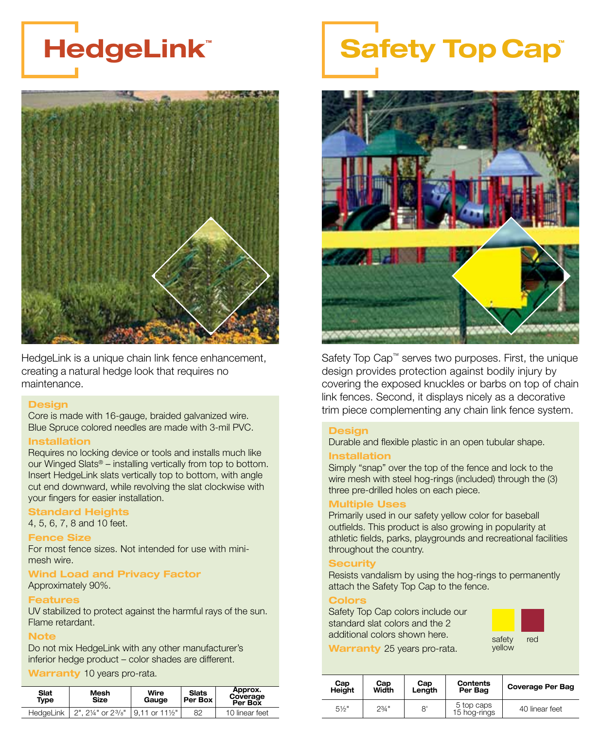### HedgeLink™



HedgeLink is a unique chain link fence enhancement, creating a natural hedge look that requires no maintenance.

#### **Design**

Core is made with 16-gauge, braided galvanized wire. Blue Spruce colored needles are made with 3-mil PVC.

#### Installation

Requires no locking device or tools and installs much like our Winged Slats® – installing vertically from top to bottom. Insert HedgeLink slats vertically top to bottom, with angle cut end downward, while revolving the slat clockwise with your fingers for easier installation.

#### Standard Heights

4, 5, 6, 7, 8 and 10 feet.

#### Fence Size

For most fence sizes. Not intended for use with minimesh wire.

#### Wind Load and Privacy Factor

Approximately 90%.

#### **Features**

UV stabilized to protect against the harmful rays of the sun. Flame retardant.

#### **Note**

Do not mix HedgeLink with any other manufacturer's inferior hedge product – color shades are different.

Warranty 10 years pro-rata.

| Slat<br>Type | Mesh<br>Size       | Wire<br>Gauge                | <b>Slats</b><br>Per Box | Approx.<br>Coverage<br>Per Box |
|--------------|--------------------|------------------------------|-------------------------|--------------------------------|
| HedaeLink    | 2", 21/4" or 23/8" | $19.11$ or $11\frac{1}{2}$ " | 82                      | 10 linear feet                 |

# **Safety Top Cap®**



Safety Top Cap™ serves two purposes. First, the unique design provides protection against bodily injury by covering the exposed knuckles or barbs on top of chain link fences. Second, it displays nicely as a decorative trim piece complementing any chain link fence system.

#### **Design**

Durable and flexible plastic in an open tubular shape.

#### Installation

Simply "snap" over the top of the fence and lock to the wire mesh with steel hog-rings (included) through the (3) three pre-drilled holes on each piece.

#### Multiple Uses

Primarily used in our safety yellow color for baseball outfields. This product is also growing in popularity at athletic fields, parks, playgrounds and recreational facilities throughout the country.

#### iecurity

Resists vandalism by using the hog-rings to permanently attach the Safety Top Cap to the fence.

#### Colors

Safety Top Cap colors include our standard slat colors and the 2 additional colors shown here.



| Cap<br>Height | Cap<br>Width | Cap<br>Length | <b>Contents</b><br>Per Bag | <b>Coverage Per Bag</b> |
|---------------|--------------|---------------|----------------------------|-------------------------|
| $5\%$ "       | $2^{3/4}$ "  | 8'            | 5 top caps<br>15 hog-rings | 40 linear feet          |